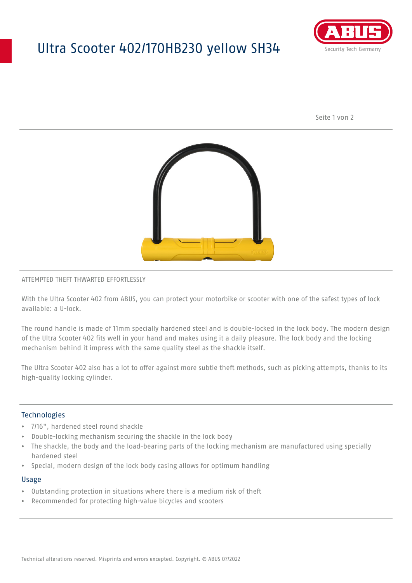## Ultra Scooter 402/170HB230 yellow SH34



Seite 1 von 2



#### ATTEMPTED THEFT THWARTED EFFORTLESSLY

With the Ultra Scooter 402 from ABUS, you can protect your motorbike or scooter with one of the safest types of lock available: a U-lock.

The round handle is made of 11mm specially hardened steel and is double-locked in the lock body. The modern design of the Ultra Scooter 402 fits well in your hand and makes using it a daily pleasure. The lock body and the locking mechanism behind it impress with the same quality steel as the shackle itself.

The Ultra Scooter 402 also has a lot to offer against more subtle theft methods, such as picking attempts, thanks to its high-quality locking cylinder.

#### **Technologies**

- 7/16", hardened steel round shackle
- Double-locking mechanism securing the shackle in the lock body
- The shackle, the body and the load-bearing parts of the locking mechanism are manufactured using specially hardened steel
- Special, modern design of the lock body casing allows for optimum handling

#### Usage

- Outstanding protection in situations where there is a medium risk of theft
- Recommended for protecting high-value bicycles and scooters